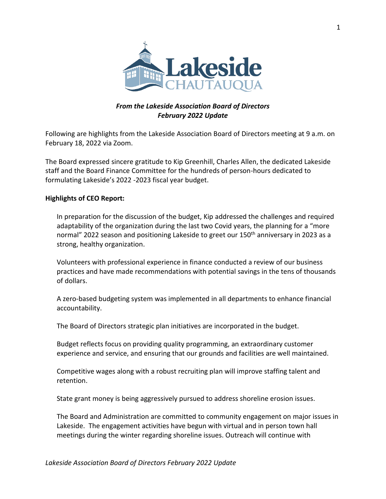

## *From the Lakeside Association Board of Directors February 2022 Update*

Following are highlights from the Lakeside Association Board of Directors meeting at 9 a.m. on February 18, 2022 via Zoom.

The Board expressed sincere gratitude to Kip Greenhill, Charles Allen, the dedicated Lakeside staff and the Board Finance Committee for the hundreds of person-hours dedicated to formulating Lakeside's 2022 -2023 fiscal year budget.

#### **Highlights of CEO Report:**

In preparation for the discussion of the budget, Kip addressed the challenges and required adaptability of the organization during the last two Covid years, the planning for a "more normal" 2022 season and positioning Lakeside to greet our 150<sup>th</sup> anniversary in 2023 as a strong, healthy organization.

Volunteers with professional experience in finance conducted a review of our business practices and have made recommendations with potential savings in the tens of thousands of dollars.

A zero-based budgeting system was implemented in all departments to enhance financial accountability.

The Board of Directors strategic plan initiatives are incorporated in the budget.

Budget reflects focus on providing quality programming, an extraordinary customer experience and service, and ensuring that our grounds and facilities are well maintained.

Competitive wages along with a robust recruiting plan will improve staffing talent and retention.

State grant money is being aggressively pursued to address shoreline erosion issues.

The Board and Administration are committed to community engagement on major issues in Lakeside. The engagement activities have begun with virtual and in person town hall meetings during the winter regarding shoreline issues. Outreach will continue with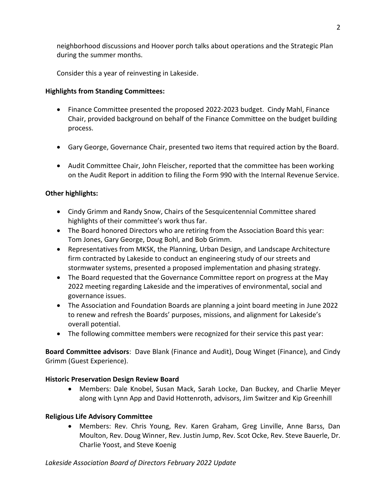neighborhood discussions and Hoover porch talks about operations and the Strategic Plan during the summer months.

Consider this a year of reinvesting in Lakeside.

## **Highlights from Standing Committees:**

- Finance Committee presented the proposed 2022-2023 budget. Cindy Mahl, Finance Chair, provided background on behalf of the Finance Committee on the budget building process.
- Gary George, Governance Chair, presented two items that required action by the Board.
- Audit Committee Chair, John Fleischer, reported that the committee has been working on the Audit Report in addition to filing the Form 990 with the Internal Revenue Service.

# **Other highlights:**

- Cindy Grimm and Randy Snow, Chairs of the Sesquicentennial Committee shared highlights of their committee's work thus far.
- The Board honored Directors who are retiring from the Association Board this year: Tom Jones, Gary George, Doug Bohl, and Bob Grimm.
- Representatives from MKSK, the Planning, Urban Design, and Landscape Architecture firm contracted by Lakeside to conduct an engineering study of our streets and stormwater systems, presented a proposed implementation and phasing strategy.
- The Board requested that the Governance Committee report on progress at the May 2022 meeting regarding Lakeside and the imperatives of environmental, social and governance issues.
- The Association and Foundation Boards are planning a joint board meeting in June 2022 to renew and refresh the Boards' purposes, missions, and alignment for Lakeside's overall potential.
- The following committee members were recognized for their service this past year:

**Board Committee advisors**: Dave Blank (Finance and Audit), Doug Winget (Finance), and Cindy Grimm (Guest Experience).

## **Historic Preservation Design Review Board**

• Members: Dale Knobel, Susan Mack, Sarah Locke, Dan Buckey, and Charlie Meyer along with Lynn App and David Hottenroth, advisors, Jim Switzer and Kip Greenhill

## **Religious Life Advisory Committee**

• Members: Rev. Chris Young, Rev. Karen Graham, Greg Linville, Anne Barss, Dan Moulton, Rev. Doug Winner, Rev. Justin Jump, Rev. Scot Ocke, Rev. Steve Bauerle, Dr. Charlie Yoost, and Steve Koenig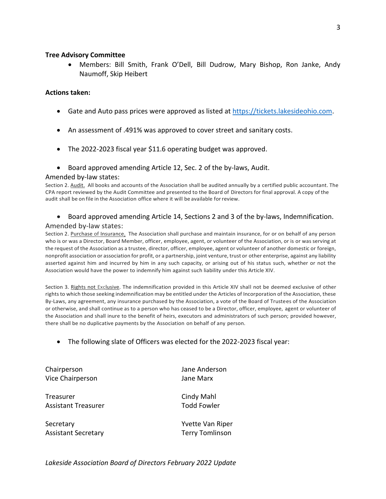#### **Tree Advisory Committee**

• Members: Bill Smith, Frank O'Dell, Bill Dudrow, Mary Bishop, Ron Janke, Andy Naumoff, Skip Heibert

#### **Actions taken:**

- Gate and Auto pass prices were approved as listed at [https://tickets.lakesideohio.com.](https://tickets.lakesideohio.com/)
- An assessment of .491% was approved to cover street and sanitary costs.
- The 2022-2023 fiscal year \$11.6 operating budget was approved.
- Board approved amending Article 12, Sec. 2 of the by-laws, Audit.

#### Amended by-law states:

Section 2. Audit. All books and accounts of the Association shall be audited annually by a certified public accountant. The CPA report reviewed by the Audit Committee and presented to the Board of Directors for final approval. A copy of the audit shall be on file in the Association office where it will be available forreview.

• Board approved amending Article 14, Sections 2 and 3 of the by-laws, Indemnification.

#### Amended by-law states:

Section 2. Purchase of Insurance. The Association shall purchase and maintain insurance, for or on behalf of any person who is or was a Director, Board Member, officer, employee, agent, or volunteer of the Association, or is or was serving at the request of the Association as a trustee, director, officer, employee, agent or volunteer of another domestic or foreign, nonprofit association or association for profit, or a partnership, joint venture, trust or other enterprise, against any liability asserted against him and incurred by him in any such capacity, or arising out of his status such, whether or not the Association would have the power to indemnify him against such liability under this Article XIV.

Section 3. Rights not Exclusive. The indemnification provided in this Article XIV shall not be deemed exclusive of other rights to which those seeking indemnification may be entitled under the Articles of Incorporation of the Association, these By-Laws, any agreement, any insurance purchased by the Association, a vote of the Board of Trustees of the Association or otherwise, and shall continue as to a person who has ceased to be a Director, officer, employee, agent or volunteer of the Association and shall inure to the benefit of heirs, executors and administrators of such person; provided however, there shall be no duplicative payments by the Association on behalf of any person.

• The following slate of Officers was elected for the 2022-2023 fiscal year:

Chairperson Jane Anderson Vice Chairperson **Jane Marx** 

Treasurer **Cindy Mahl** Assistant Treasurer Todd Fowler

Secretary **Secretary Contract Contract Contract Contract Contract Contract Contract Contract Contract Contract Contract Contract Contract Contract Contract Contract Contract Contract Contract Contract Contract Contract Con** Assistant Secretary Terry Tomlinson

*Lakeside Association Board of Directors February 2022 Update*